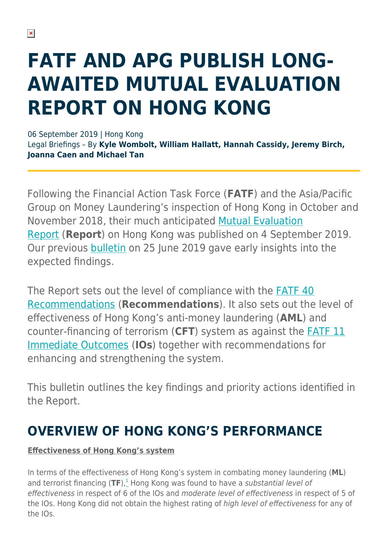# **FATF AND APG PUBLISH LONG-AWAITED MUTUAL EVALUATION REPORT ON HONG KONG**

06 September 2019 | Hong Kong Legal Briefings – By **Kyle Wombolt, William Hallatt, Hannah Cassidy, Jeremy Birch, Joanna Caen and Michael Tan**

Following the Financial Action Task Force (**FATF**) and the Asia/Pacific Group on Money Laundering's inspection of Hong Kong in October and November 2018, their much anticipated [Mutual Evaluation](http://www.fatf-gafi.org/media/fatf/documents/reports/mer4/MER-Hong-Kong-2019.pdf) [Report](http://www.fatf-gafi.org/media/fatf/documents/reports/mer4/MER-Hong-Kong-2019.pdf) (**Report**) on Hong Kong was published on 4 September 2019. Our previous [bulletin](https://sites-herbertsmithfreehills.vuturevx.com/email_handler.aspx?sid=acb7ee65-f673-47d2-9caa-e7d0675f5326&redirect=https%3A%2F%2Fsites-herbertsmithfreehills.vuturevx.com%2F103%2F20193%2Fjune-2019%2Ffatf-expects-to-finalise-mutual-evaluation-report-on-hong-kong-s-aml-cft-regime-by-september-2019-.asp) on 25 June 2019 gave early insights into the expected findings.

The Report sets out the level of compliance with the **FATF 40** [Recommendations](http://www.fatf-gafi.org/media/fatf/documents/recommendations/pdfs/FATF%20Recommendations%202012.pdf) (**Recommendations**). It also sets out the level of effectiveness of Hong Kong's anti-money laundering (**AML**) and counter-financing of terrorism (**CFT**) system as against the [FATF 11](https://www.fatf-gafi.org/publications/mutualevaluations/documents/effectiveness.html) [Immediate Outcomes](https://www.fatf-gafi.org/publications/mutualevaluations/documents/effectiveness.html) (**IOs**) together with recommendations for enhancing and strengthening the system.

This bulletin outlines the key findings and priority actions identified in the Report.

### **OVERVIEW OF HONG KONG'S PERFORMANCE**

#### **Effectiveness of Hong Kong's system**

In terms of the effectiveness of Hong Kong's system in combating money laundering (**ML**) and terrorist financing (TF),<sup>[1](https://www.herbertsmithfreehills.com/hsfpdf/latest-thinking/fatf-and-apg-publish-long-awaited-mutual-evaluation-report-on-hong-kong#one)</sup> Hong Kong was found to have a substantial level of effectiveness in respect of 6 of the IOs and moderate level of effectiveness in respect of 5 of the IOs. Hong Kong did not obtain the highest rating of high level of effectiveness for any of the IOs.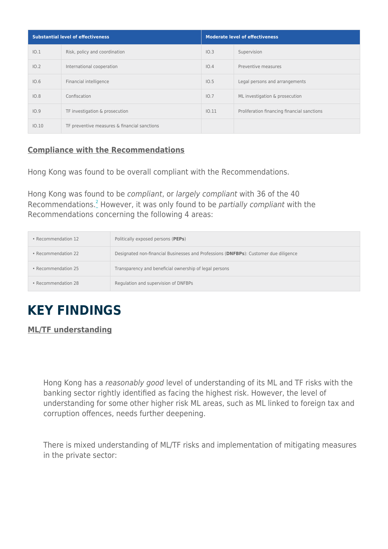| <b>Substantial level of effectiveness</b> |                                                 | <b>Moderate level of effectiveness</b> |                                             |
|-------------------------------------------|-------------------------------------------------|----------------------------------------|---------------------------------------------|
| IO.1                                      | Risk, policy and coordination                   | IO.3                                   | Supervision                                 |
| IO.2                                      | International cooperation                       | IO.4                                   | Preventive measures                         |
| IO.6                                      | Financial intelligence                          | 10.5                                   | Legal persons and arrangements              |
| 10.8                                      | Confiscation                                    | 10.7                                   | ML investigation & prosecution              |
| IO.9                                      | TF investigation & prosecution                  | 10.11                                  | Proliferation financing financial sanctions |
| 10.10                                     | TF preventive measures $\&$ financial sanctions |                                        |                                             |

#### **Compliance with the Recommendations**

Hong Kong was found to be overall compliant with the Recommendations.

Hong Kong was found to be compliant, or largely compliant with 36 of the 40 Recommendations.<sup>[2](https://www.herbertsmithfreehills.com/hsfpdf/latest-thinking/fatf-and-apg-publish-long-awaited-mutual-evaluation-report-on-hong-kong#two)</sup> However, it was only found to be partially compliant with the Recommendations concerning the following 4 areas:

| • Recommendation 12 | Politically exposed persons (PEPs)                                                   |
|---------------------|--------------------------------------------------------------------------------------|
| • Recommendation 22 | Designated non-financial Businesses and Professions (DNFBPs): Customer due diligence |
| • Recommendation 25 | Transparency and beneficial ownership of legal persons                               |
| • Recommendation 28 | Regulation and supervision of DNFBPs                                                 |

# **KEY FINDINGS**

#### **ML/TF understanding**

Hong Kong has a reasonably good level of understanding of its ML and TF risks with the banking sector rightly identified as facing the highest risk. However, the level of understanding for some other higher risk ML areas, such as ML linked to foreign tax and corruption offences, needs further deepening.

There is mixed understanding of ML/TF risks and implementation of mitigating measures in the private sector: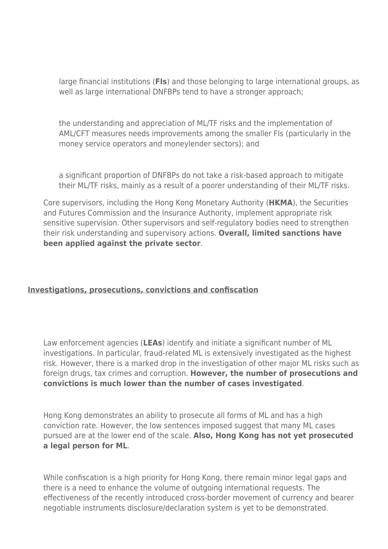large financial institutions (**FIs**) and those belonging to large international groups, as well as large international DNFBPs tend to have a stronger approach;

the understanding and appreciation of ML/TF risks and the implementation of AML/CFT measures needs improvements among the smaller FIs (particularly in the money service operators and moneylender sectors); and

a significant proportion of DNFBPs do not take a risk-based approach to mitigate their ML/TF risks, mainly as a result of a poorer understanding of their ML/TF risks.

Core supervisors, including the Hong Kong Monetary Authority (**HKMA**), the Securities and Futures Commission and the Insurance Authority, implement appropriate risk sensitive supervision. Other supervisors and self-regulatory bodies need to strengthen their risk understanding and supervisory actions. **Overall, limited sanctions have been applied against the private sector**.

#### **Investigations, prosecutions, convictions and confiscation**

Law enforcement agencies (**LEAs**) identify and initiate a significant number of ML investigations. In particular, fraud-related ML is extensively investigated as the highest risk. However, there is a marked drop in the investigation of other major ML risks such as foreign drugs, tax crimes and corruption. **However, the number of prosecutions and convictions is much lower than the number of cases investigated**.

Hong Kong demonstrates an ability to prosecute all forms of ML and has a high conviction rate. However, the low sentences imposed suggest that many ML cases pursued are at the lower end of the scale. **Also, Hong Kong has not yet prosecuted a legal person for ML**.

While confiscation is a high priority for Hong Kong, there remain minor legal gaps and there is a need to enhance the volume of outgoing international requests. The effectiveness of the recently introduced cross-border movement of currency and bearer negotiable instruments disclosure/declaration system is yet to be demonstrated.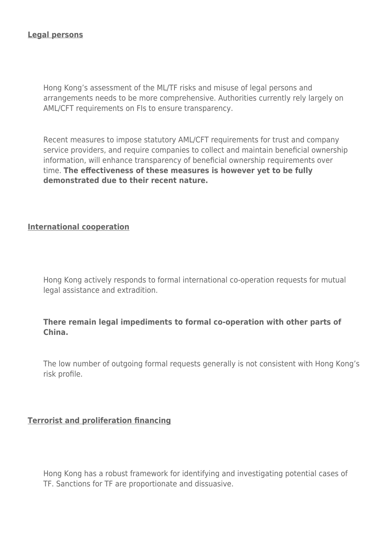#### **Legal persons**

Hong Kong's assessment of the ML/TF risks and misuse of legal persons and arrangements needs to be more comprehensive. Authorities currently rely largely on AML/CFT requirements on FIs to ensure transparency.

Recent measures to impose statutory AML/CFT requirements for trust and company service providers, and require companies to collect and maintain beneficial ownership information, will enhance transparency of beneficial ownership requirements over time. **The effectiveness of these measures is however yet to be fully demonstrated due to their recent nature.**

#### **International cooperation**

Hong Kong actively responds to formal international co-operation requests for mutual legal assistance and extradition.

#### **There remain legal impediments to formal co-operation with other parts of China.**

The low number of outgoing formal requests generally is not consistent with Hong Kong's risk profile.

#### **Terrorist and proliferation financing**

Hong Kong has a robust framework for identifying and investigating potential cases of TF. Sanctions for TF are proportionate and dissuasive.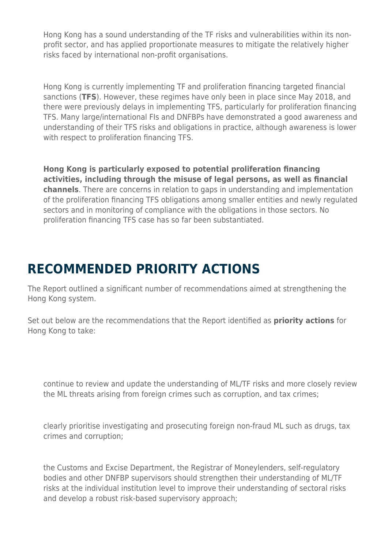Hong Kong has a sound understanding of the TF risks and vulnerabilities within its nonprofit sector, and has applied proportionate measures to mitigate the relatively higher risks faced by international non-profit organisations.

Hong Kong is currently implementing TF and proliferation financing targeted financial sanctions (**TFS**). However, these regimes have only been in place since May 2018, and there were previously delays in implementing TFS, particularly for proliferation financing TFS. Many large/international FIs and DNFBPs have demonstrated a good awareness and understanding of their TFS risks and obligations in practice, although awareness is lower with respect to proliferation financing TFS.

**Hong Kong is particularly exposed to potential proliferation financing activities, including through the misuse of legal persons, as well as financial channels**. There are concerns in relation to gaps in understanding and implementation of the proliferation financing TFS obligations among smaller entities and newly regulated sectors and in monitoring of compliance with the obligations in those sectors. No proliferation financing TFS case has so far been substantiated.

### **RECOMMENDED PRIORITY ACTIONS**

The Report outlined a significant number of recommendations aimed at strengthening the Hong Kong system.

Set out below are the recommendations that the Report identified as **priority actions** for Hong Kong to take:

continue to review and update the understanding of ML/TF risks and more closely review the ML threats arising from foreign crimes such as corruption, and tax crimes;

clearly prioritise investigating and prosecuting foreign non-fraud ML such as drugs, tax crimes and corruption;

the Customs and Excise Department, the Registrar of Moneylenders, self-regulatory bodies and other DNFBP supervisors should strengthen their understanding of ML/TF risks at the individual institution level to improve their understanding of sectoral risks and develop a robust risk-based supervisory approach;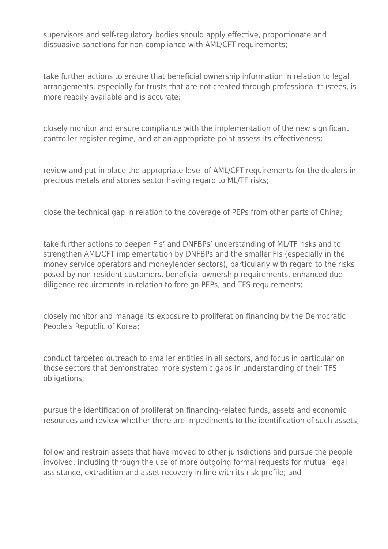supervisors and self-regulatory bodies should apply effective, proportionate and dissuasive sanctions for non-compliance with AML/CFT requirements;

take further actions to ensure that beneficial ownership information in relation to legal arrangements, especially for trusts that are not created through professional trustees, is more readily available and is accurate;

closely monitor and ensure compliance with the implementation of the new significant controller register regime, and at an appropriate point assess its effectiveness;

review and put in place the appropriate level of AML/CFT requirements for the dealers in precious metals and stones sector having regard to ML/TF risks;

close the technical gap in relation to the coverage of PEPs from other parts of China;

take further actions to deepen FIs' and DNFBPs' understanding of ML/TF risks and to strengthen AML/CFT implementation by DNFBPs and the smaller FIs (especially in the money service operators and moneylender sectors), particularly with regard to the risks posed by non-resident customers, beneficial ownership requirements, enhanced due diligence requirements in relation to foreign PEPs, and TFS requirements;

closely monitor and manage its exposure to proliferation financing by the Democratic People's Republic of Korea;

conduct targeted outreach to smaller entities in all sectors, and focus in particular on those sectors that demonstrated more systemic gaps in understanding of their TFS obligations;

pursue the identification of proliferation financing-related funds, assets and economic resources and review whether there are impediments to the identification of such assets;

follow and restrain assets that have moved to other jurisdictions and pursue the people involved, including through the use of more outgoing formal requests for mutual legal assistance, extradition and asset recovery in line with its risk profile; and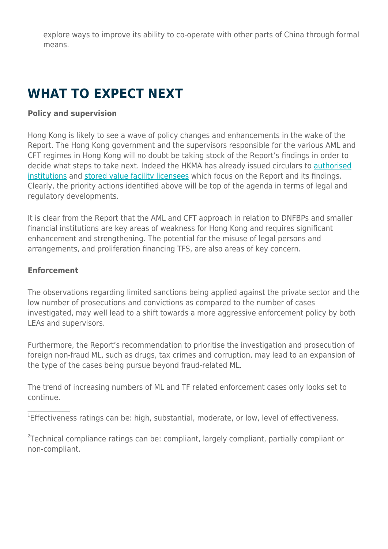explore ways to improve its ability to co-operate with other parts of China through formal means.

# **WHAT TO EXPECT NEXT**

#### **Policy and supervision**

Hong Kong is likely to see a wave of policy changes and enhancements in the wake of the Report. The Hong Kong government and the supervisors responsible for the various AML and CFT regimes in Hong Kong will no doubt be taking stock of the Report's findings in order to decide what steps to take next. Indeed the HKMA has already issued circulars to [authorised](https://www.hkma.gov.hk/media/eng/doc/key-information/guidelines-and-circular/2019/20190904e1.pdf) [institutions](https://www.hkma.gov.hk/media/eng/doc/key-information/guidelines-and-circular/2019/20190904e1.pdf) and [stored value facility licensees](https://www.hkma.gov.hk/media/eng/doc/key-information/guidelines-and-circular/2019/20190904e2.pdf) which focus on the Report and its findings. Clearly, the priority actions identified above will be top of the agenda in terms of legal and regulatory developments.

It is clear from the Report that the AML and CFT approach in relation to DNFBPs and smaller financial institutions are key areas of weakness for Hong Kong and requires significant enhancement and strengthening. The potential for the misuse of legal persons and arrangements, and proliferation financing TFS, are also areas of key concern.

#### **Enforcement**

 $\frac{1}{2}$ 

The observations regarding limited sanctions being applied against the private sector and the low number of prosecutions and convictions as compared to the number of cases investigated, may well lead to a shift towards a more aggressive enforcement policy by both LEAs and supervisors.

Furthermore, the Report's recommendation to prioritise the investigation and prosecution of foreign non-fraud ML, such as drugs, tax crimes and corruption, may lead to an expansion of the type of the cases being pursue beyond fraud-related ML.

The trend of increasing numbers of ML and TF related enforcement cases only looks set to continue.

<sup>1</sup>Effectiveness ratings can be: high, substantial, moderate, or low, level of effectiveness.

<sup>2</sup>Technical compliance ratings can be: compliant, largely compliant, partially compliant or non-compliant.